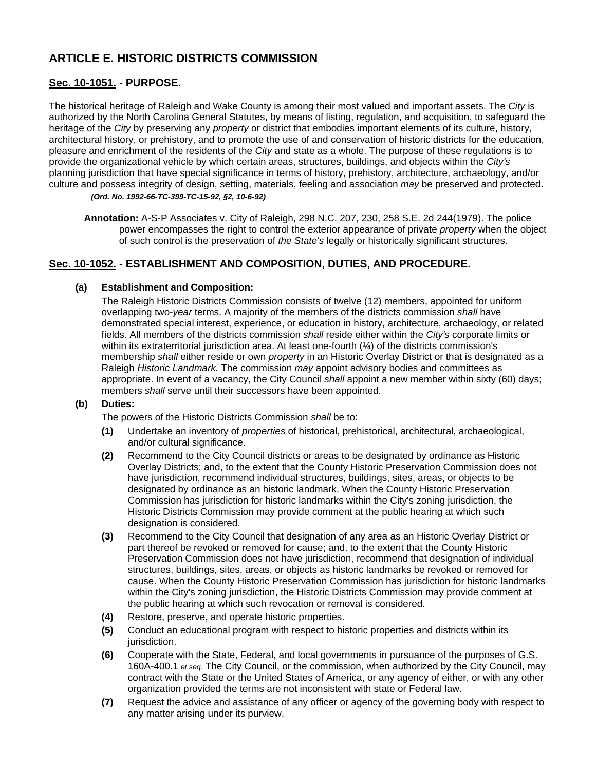# **ARTICLE E. HISTORIC DISTRICTS COMMISSION**

# **[Sec. 10-1051.](javascript:void(0)) - PURPOSE.**

The historical heritage of Raleigh and Wake County is among their most valued and important assets. The *City* is authorized by the North Carolina General Statutes, by means of listing, regulation, and acquisition, to safeguard the heritage of the *City* by preserving any *property* or district that embodies important elements of its culture, history, architectural history, or prehistory, and to promote the use of and conservation of historic districts for the education, pleasure and enrichment of the residents of the *City* and state as a whole. The purpose of these regulations is to provide the organizational vehicle by which certain areas, structures, buildings, and objects within the *City's* planning jurisdiction that have special significance in terms of history, prehistory, architecture, archaeology, and/or culture and possess integrity of design, setting, materials, feeling and association *may* be preserved and protected. *(Ord. No. 1992-66-TC-399-TC-15-92, §2, 10-6-92)* 

**Annotation:** A-S-P Associates v. City of Raleigh, 298 N.C. 207, 230, 258 S.E. 2d 244(1979). The police power encompasses the right to control the exterior appearance of private *property* when the object of such control is the preservation of *the State's* legally or historically significant structures.

## **[Sec. 10-1052.](javascript:void(0)) - ESTABLISHMENT AND COMPOSITION, DUTIES, AND PROCEDURE.**

### **(a) Establishment and Composition:**

The Raleigh Historic Districts Commission consists of twelve (12) members, appointed for uniform overlapping two-*year* terms. A majority of the members of the districts commission *shall* have demonstrated special interest, experience, or education in history, architecture, archaeology, or related fields. All members of the districts commission *shall* reside either within the *City's* corporate limits or within its extraterritorial jurisdiction area. At least one-fourth (¼) of the districts commission's membership *shall* either reside or own *property* in an Historic Overlay District or that is designated as a Raleigh *Historic Landmark.* The commission *may* appoint advisory bodies and committees as appropriate. In event of a vacancy, the City Council *shall* appoint a new member within sixty (60) days; members *shall* serve until their successors have been appointed.

#### **(b) Duties:**

The powers of the Historic Districts Commission *shall* be to:

- **(1)** Undertake an inventory of *properties* of historical, prehistorical, architectural, archaeological, and/or cultural significance.
- **(2)** Recommend to the City Council districts or areas to be designated by ordinance as Historic Overlay Districts; and, to the extent that the County Historic Preservation Commission does not have jurisdiction, recommend individual structures, buildings, sites, areas, or objects to be designated by ordinance as an historic landmark. When the County Historic Preservation Commission has jurisdiction for historic landmarks within the City's zoning jurisdiction, the Historic Districts Commission may provide comment at the public hearing at which such designation is considered.
- **(3)** Recommend to the City Council that designation of any area as an Historic Overlay District or part thereof be revoked or removed for cause; and, to the extent that the County Historic Preservation Commission does not have jurisdiction, recommend that designation of individual structures, buildings, sites, areas, or objects as historic landmarks be revoked or removed for cause. When the County Historic Preservation Commission has jurisdiction for historic landmarks within the City's zoning jurisdiction, the Historic Districts Commission may provide comment at the public hearing at which such revocation or removal is considered.
- **(4)** Restore, preserve, and operate historic properties.
- **(5)** Conduct an educational program with respect to historic properties and districts within its jurisdiction.
- **(6)** Cooperate with the State, Federal, and local governments in pursuance of the purposes of G.S. 160A-400.1 *et seq.* The City Council, or the commission, when authorized by the City Council, may contract with the State or the United States of America, or any agency of either, or with any other organization provided the terms are not inconsistent with state or Federal law.
- **(7)** Request the advice and assistance of any officer or agency of the governing body with respect to any matter arising under its purview.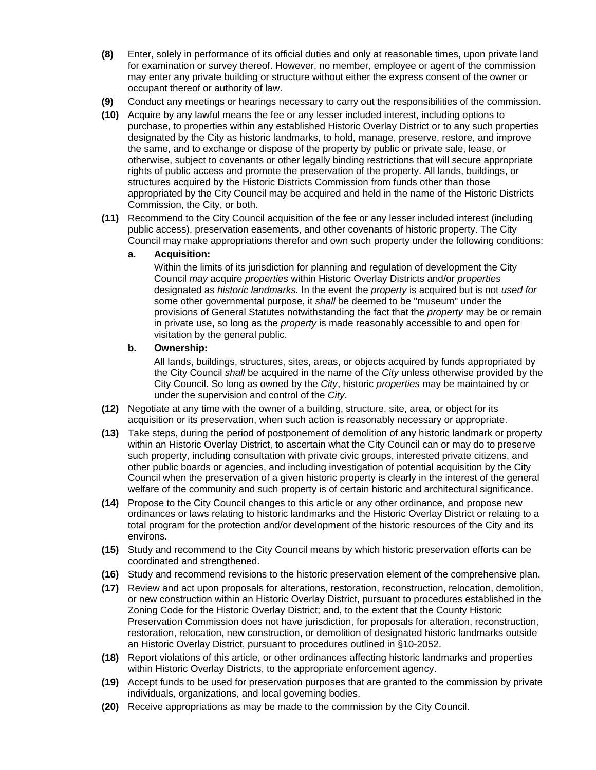- **(8)** Enter, solely in performance of its official duties and only at reasonable times, upon private land for examination or survey thereof. However, no member, employee or agent of the commission may enter any private building or structure without either the express consent of the owner or occupant thereof or authority of law.
- **(9)** Conduct any meetings or hearings necessary to carry out the responsibilities of the commission.
- **(10)** Acquire by any lawful means the fee or any lesser included interest, including options to purchase, to properties within any established Historic Overlay District or to any such properties designated by the City as historic landmarks, to hold, manage, preserve, restore, and improve the same, and to exchange or dispose of the property by public or private sale, lease, or otherwise, subject to covenants or other legally binding restrictions that will secure appropriate rights of public access and promote the preservation of the property. All lands, buildings, or structures acquired by the Historic Districts Commission from funds other than those appropriated by the City Council may be acquired and held in the name of the Historic Districts Commission, the City, or both.
- **(11)** Recommend to the City Council acquisition of the fee or any lesser included interest (including public access), preservation easements, and other covenants of historic property. The City Council may make appropriations therefor and own such property under the following conditions:
	- **a. Acquisition:**

Within the limits of its jurisdiction for planning and regulation of development the City Council *may* acquire *properties* within Historic Overlay Districts and/or *properties* designated as *historic landmarks.* In the event the *property* is acquired but is not *used for* some other governmental purpose, it *shall* be deemed to be "museum" under the provisions of General Statutes notwithstanding the fact that the *property* may be or remain in private use, so long as the *property* is made reasonably accessible to and open for visitation by the general public.

#### **b. Ownership:**

All lands, buildings, structures, sites, areas, or objects acquired by funds appropriated by the City Council *shall* be acquired in the name of the *City* unless otherwise provided by the City Council. So long as owned by the *City*, historic *properties* may be maintained by or under the supervision and control of the *City*.

- **(12)** Negotiate at any time with the owner of a building, structure, site, area, or object for its acquisition or its preservation, when such action is reasonably necessary or appropriate.
- **(13)** Take steps, during the period of postponement of demolition of any historic landmark or property within an Historic Overlay District, to ascertain what the City Council can or may do to preserve such property, including consultation with private civic groups, interested private citizens, and other public boards or agencies, and including investigation of potential acquisition by the City Council when the preservation of a given historic property is clearly in the interest of the general welfare of the community and such property is of certain historic and architectural significance.
- **(14)** Propose to the City Council changes to this article or any other ordinance, and propose new ordinances or laws relating to historic landmarks and the Historic Overlay District or relating to a total program for the protection and/or development of the historic resources of the City and its environs.
- **(15)** Study and recommend to the City Council means by which historic preservation efforts can be coordinated and strengthened.
- **(16)** Study and recommend revisions to the historic preservation element of the comprehensive plan.
- **(17)** Review and act upon proposals for alterations, restoration, reconstruction, relocation, demolition, or new construction within an Historic Overlay District, pursuant to procedures established in the Zoning Code for the Historic Overlay District; and, to the extent that the County Historic Preservation Commission does not have jurisdiction, for proposals for alteration, reconstruction, restoration, relocation, new construction, or demolition of designated historic landmarks outside an Historic Overlay District, pursuant to procedures outlined in §10-2052.
- **(18)** Report violations of this article, or other ordinances affecting historic landmarks and properties within Historic Overlay Districts, to the appropriate enforcement agency.
- **(19)** Accept funds to be used for preservation purposes that are granted to the commission by private individuals, organizations, and local governing bodies.
- **(20)** Receive appropriations as may be made to the commission by the City Council.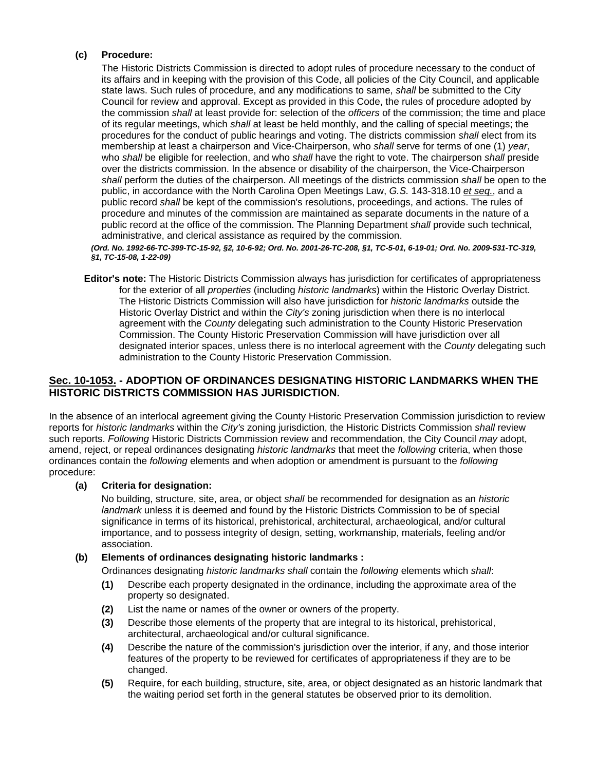#### **(c) Procedure:**

The Historic Districts Commission is directed to adopt rules of procedure necessary to the conduct of its affairs and in keeping with the provision of this Code, all policies of the City Council, and applicable state laws. Such rules of procedure, and any modifications to same, *shall* be submitted to the City Council for review and approval. Except as provided in this Code, the rules of procedure adopted by the commission *shall* at least provide for: selection of the *officers* of the commission; the time and place of its regular meetings, which *shall* at least be held monthly, and the calling of special meetings; the procedures for the conduct of public hearings and voting. The districts commission *shall* elect from its membership at least a chairperson and Vice-Chairperson, who *shall* serve for terms of one (1) *year*, who *shall* be eligible for reelection, and who *shall* have the right to vote. The chairperson *shall* preside over the districts commission. In the absence or disability of the chairperson, the Vice-Chairperson *shall* perform the duties of the chairperson. All meetings of the districts commission *shall* be open to the public, in accordance with the North Carolina Open Meetings Law, *G.S.* 143-318.10 *et seq.*, and a public record *shall* be kept of the commission's resolutions, proceedings, and actions. The rules of procedure and minutes of the commission are maintained as separate documents in the nature of a public record at the office of the commission. The Planning Department *shall* provide such technical, administrative, and clerical assistance as required by the commission.

*(Ord. No. 1992-66-TC-399-TC-15-92, §2, 10-6-92; Ord. No. 2001-26-TC-208, §1, TC-5-01, 6-19-01; Ord. No. 2009-531-TC-319, §1, TC-15-08, 1-22-09)* 

**Editor's note:** The Historic Districts Commission always has jurisdiction for certificates of appropriateness for the exterior of all *properties* (including *historic landmarks*) within the Historic Overlay District. The Historic Districts Commission will also have jurisdiction for *historic landmarks* outside the Historic Overlay District and within the *City's* zoning jurisdiction when there is no interlocal agreement with the *County* delegating such administration to the County Historic Preservation Commission. The County Historic Preservation Commission will have jurisdiction over all designated interior spaces, unless there is no interlocal agreement with the *County* delegating such administration to the County Historic Preservation Commission.

### **[Sec. 10-1053.](javascript:void(0)) - ADOPTION OF ORDINANCES DESIGNATING HISTORIC LANDMARKS WHEN THE HISTORIC DISTRICTS COMMISSION HAS JURISDICTION.**

In the absence of an interlocal agreement giving the County Historic Preservation Commission jurisdiction to review reports for *historic landmarks* within the *City's* zoning jurisdiction, the Historic Districts Commission *shall* review such reports. *Following* Historic Districts Commission review and recommendation, the City Council *may* adopt, amend, reject, or repeal ordinances designating *historic landmarks* that meet the *following* criteria, when those ordinances contain the *following* elements and when adoption or amendment is pursuant to the *following* procedure:

#### **(a) Criteria for designation:**

No building, structure, site, area, or object *shall* be recommended for designation as an *historic landmark* unless it is deemed and found by the Historic Districts Commission to be of special significance in terms of its historical, prehistorical, architectural, archaeological, and/or cultural importance, and to possess integrity of design, setting, workmanship, materials, feeling and/or association.

#### **(b) Elements of ordinances designating historic landmarks :**

Ordinances designating *historic landmarks shall* contain the *following* elements which *shall*:

- **(1)** Describe each property designated in the ordinance, including the approximate area of the property so designated.
- **(2)** List the name or names of the owner or owners of the property.
- **(3)** Describe those elements of the property that are integral to its historical, prehistorical, architectural, archaeological and/or cultural significance.
- **(4)** Describe the nature of the commission's jurisdiction over the interior, if any, and those interior features of the property to be reviewed for certificates of appropriateness if they are to be changed.
- **(5)** Require, for each building, structure, site, area, or object designated as an historic landmark that the waiting period set forth in the general statutes be observed prior to its demolition.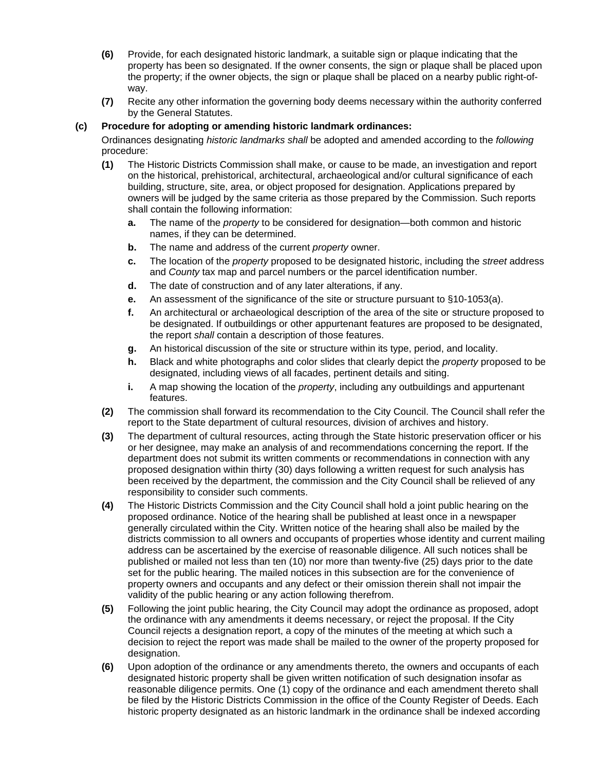- **(6)** Provide, for each designated historic landmark, a suitable sign or plaque indicating that the property has been so designated. If the owner consents, the sign or plaque shall be placed upon the property; if the owner objects, the sign or plaque shall be placed on a nearby public right-ofway.
- **(7)** Recite any other information the governing body deems necessary within the authority conferred by the General Statutes.

#### **(c) Procedure for adopting or amending historic landmark ordinances:**

Ordinances designating *historic landmarks shall* be adopted and amended according to the *following* procedure:

- **(1)** The Historic Districts Commission shall make, or cause to be made, an investigation and report on the historical, prehistorical, architectural, archaeological and/or cultural significance of each building, structure, site, area, or object proposed for designation. Applications prepared by owners will be judged by the same criteria as those prepared by the Commission. Such reports shall contain the following information:
	- **a.** The name of the *property* to be considered for designation—both common and historic names, if they can be determined.
	- **b.** The name and address of the current *property* owner.
	- **c.** The location of the *property* proposed to be designated historic, including the *street* address and *County* tax map and parcel numbers or the parcel identification number.
	- **d.** The date of construction and of any later alterations, if any.
	- **e.** An assessment of the significance of the site or structure pursuant to §10-1053(a).
	- **f.** An architectural or archaeological description of the area of the site or structure proposed to be designated. If outbuildings or other appurtenant features are proposed to be designated, the report *shall* contain a description of those features.
	- **g.** An historical discussion of the site or structure within its type, period, and locality.
	- **h.** Black and white photographs and color slides that clearly depict the *property* proposed to be designated, including views of all facades, pertinent details and siting.
	- **i.** A map showing the location of the *property*, including any outbuildings and appurtenant features.
- **(2)** The commission shall forward its recommendation to the City Council. The Council shall refer the report to the State department of cultural resources, division of archives and history.
- **(3)** The department of cultural resources, acting through the State historic preservation officer or his or her designee, may make an analysis of and recommendations concerning the report. If the department does not submit its written comments or recommendations in connection with any proposed designation within thirty (30) days following a written request for such analysis has been received by the department, the commission and the City Council shall be relieved of any responsibility to consider such comments.
- **(4)** The Historic Districts Commission and the City Council shall hold a joint public hearing on the proposed ordinance. Notice of the hearing shall be published at least once in a newspaper generally circulated within the City. Written notice of the hearing shall also be mailed by the districts commission to all owners and occupants of properties whose identity and current mailing address can be ascertained by the exercise of reasonable diligence. All such notices shall be published or mailed not less than ten (10) nor more than twenty-five (25) days prior to the date set for the public hearing. The mailed notices in this subsection are for the convenience of property owners and occupants and any defect or their omission therein shall not impair the validity of the public hearing or any action following therefrom.
- **(5)** Following the joint public hearing, the City Council may adopt the ordinance as proposed, adopt the ordinance with any amendments it deems necessary, or reject the proposal. If the City Council rejects a designation report, a copy of the minutes of the meeting at which such a decision to reject the report was made shall be mailed to the owner of the property proposed for designation.
- **(6)** Upon adoption of the ordinance or any amendments thereto, the owners and occupants of each designated historic property shall be given written notification of such designation insofar as reasonable diligence permits. One (1) copy of the ordinance and each amendment thereto shall be filed by the Historic Districts Commission in the office of the County Register of Deeds. Each historic property designated as an historic landmark in the ordinance shall be indexed according